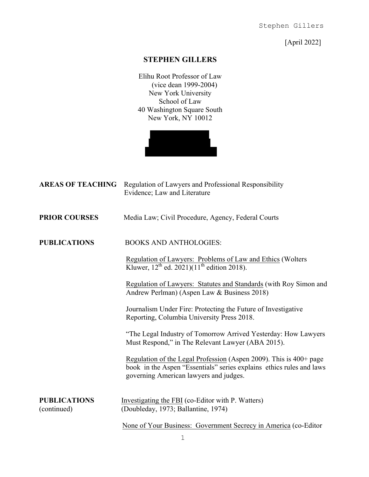[April 2022]

## **STEPHEN GILLERS**

Elihu Root Professor of Law (vice dean 1999-2004) New York University School of Law 40 Washington Square South New York, NY 10012



| <b>AREAS OF TEACHING</b>           | Regulation of Lawyers and Professional Responsibility<br>Evidence; Law and Literature                                                                                                |
|------------------------------------|--------------------------------------------------------------------------------------------------------------------------------------------------------------------------------------|
| <b>PRIOR COURSES</b>               | Media Law; Civil Procedure, Agency, Federal Courts                                                                                                                                   |
| <b>PUBLICATIONS</b>                | <b>BOOKS AND ANTHOLOGIES:</b>                                                                                                                                                        |
|                                    | Regulation of Lawyers: Problems of Law and Ethics (Wolters<br>Kluwer, $12^{th}$ ed. 2021)( $11^{th}$ edition 2018).                                                                  |
|                                    | Regulation of Lawyers: Statutes and Standards (with Roy Simon and<br>Andrew Perlman) (Aspen Law & Business 2018)                                                                     |
|                                    | Journalism Under Fire: Protecting the Future of Investigative<br>Reporting, Columbia University Press 2018.                                                                          |
|                                    | "The Legal Industry of Tomorrow Arrived Yesterday: How Lawyers<br>Must Respond," in The Relevant Lawyer (ABA 2015).                                                                  |
|                                    | Regulation of the Legal Profession (Aspen 2009). This is 400+ page<br>book in the Aspen "Essentials" series explains ethics rules and laws<br>governing American lawyers and judges. |
| <b>PUBLICATIONS</b><br>(continued) | Investigating the FBI (co-Editor with P. Watters)<br>(Doubleday, 1973; Ballantine, 1974)                                                                                             |
|                                    | None of Your Business: Government Secrecy in America (co-Editor                                                                                                                      |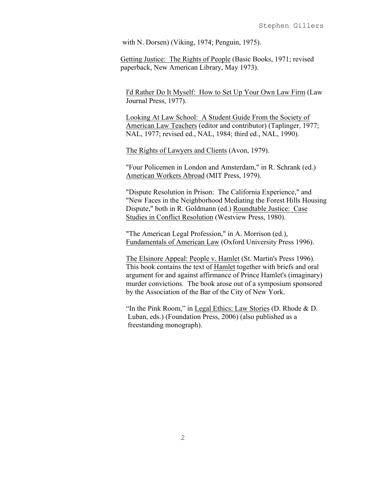with N. Dorsen) (Viking, 1974; Penguin, 1975).

Getting Justice: The Rights of People (Basic Books, 1971; revised paperback, New American Library, May 1973).

I'd Rather Do It Myself: How to Set Up Your Own Law Firm (Law Journal Press, 1977).

Looking At Law School: A Student Guide From the Society of American Law Teachers (editor and contributor) (Taplinger, 1977; NAL, 1977; revised ed., NAL, 1984; third ed., NAL, 1990).

The Rights of Lawyers and Clients (Avon, 1979).

"Four Policemen in London and Amsterdam," in R. Schrank (ed.) American Workers Abroad (MIT Press, 1979).

"Dispute Resolution in Prison: The California Experience," and "New Faces in the Neighborhood Mediating the Forest Hills Housing Dispute," both in R. Goldmann (ed.) Roundtable Justice: Case Studies in Conflict Resolution (Westview Press, 1980).

"The American Legal Profession," in A. Morrison (ed.), Fundamentals of American Law (Oxford University Press 1996).

The Elsinore Appeal: People v. Hamlet (St. Martin's Press 1996). This book contains the text of Hamlet together with briefs and oral argument for and against affirmance of Prince Hamlet's (imaginary) murder convictions. The book arose out of a symposium sponsored by the Association of the Bar of the City of New York.

 "In the Pink Room," in Legal Ethics: Law Stories (D. Rhode & D. Luban, eds.) (Foundation Press, 2006) (also published as a freestanding monograph).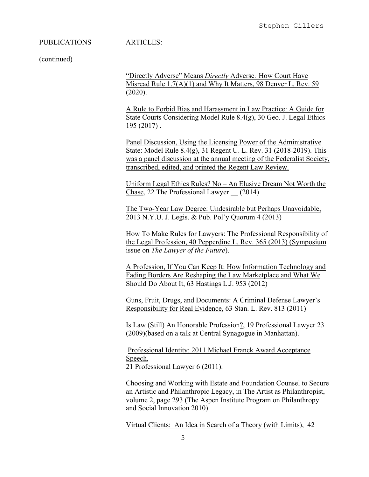#### PUBLICATIONS ARTICLES:

(continued)

"Directly Adverse" Means *Directly* Adverse*:* How Court Have Misread Rule 1.7(A)(1) and Why It Matters, 98 Denver L. Rev. 59 (2020).

A Rule to Forbid Bias and Harassment in Law Practice: A Guide for State Courts Considering Model Rule 8.4(g), 30 Geo. J. Legal Ethics 195 (2017) .

Panel Discussion, Using the Licensing Power of the Administrative State: Model Rule 8.4(g), 31 Regent U. L. Rev. 31 (2018-2019). This was a panel discussion at the annual meeting of the Federalist Society, transcribed, edited, and printed the Regent Law Review.

Uniform Legal Ethics Rules? No – An Elusive Dream Not Worth the Chase, 22 The Professional Lawyer \_\_ (2014)

The Two-Year Law Degree: Undesirable but Perhaps Unavoidable, 2013 N.Y.U. J. Legis. & Pub. Pol'y Quorum 4 (2013)

How To Make Rules for Lawyers: The Professional Responsibility of the Legal Profession, 40 Pepperdine L. Rev. 365 (2013) (Symposium issue on *The Lawyer of the Future*).

A Profession, If You Can Keep It: How Information Technology and Fading Borders Are Reshaping the Law Marketplace and What We Should Do About It, 63 Hastings L.J. 953 (2012)

Guns, Fruit, Drugs, and Documents: A Criminal Defense Lawyer's Responsibility for Real Evidence, 63 Stan. L. Rev. 813 (2011)

 Is Law (Still) An Honorable Profession?, 19 Professional Lawyer 23 (2009)(based on a talk at Central Synagogue in Manhattan).

Professional Identity: 2011 Michael Franck Award Acceptance Speech, 21 Professional Lawyer 6 (2011).

Choosing and Working with Estate and Foundation Counsel to Secure an Artistic and Philanthropic Legacy, in The Artist as Philanthropist, volume 2, page 293 (The Aspen Institute Program on Philanthropy and Social Innovation 2010)

Virtual Clients: An Idea in Search of a Theory (with Limits), 42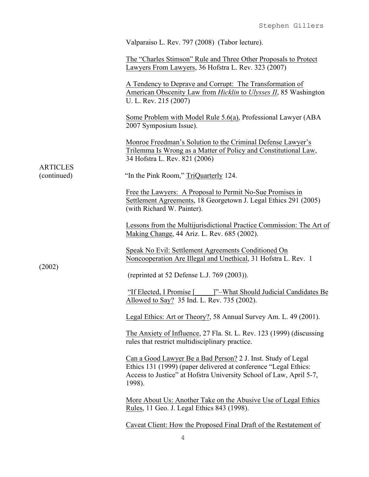|                                | Valparaiso L. Rev. 797 (2008) (Tabor lecture).                                                                                                                                                                  |
|--------------------------------|-----------------------------------------------------------------------------------------------------------------------------------------------------------------------------------------------------------------|
|                                | The "Charles Stimson" Rule and Three Other Proposals to Protect<br>Lawyers From Lawyers, 36 Hofstra L. Rev. 323 (2007)                                                                                          |
|                                | A Tendency to Deprave and Corrupt: The Transformation of<br>American Obscenity Law from Hicklin to Ulysses II, 85 Washington<br>U. L. Rev. 215 (2007)                                                           |
|                                | Some Problem with Model Rule 5.6(a), Professional Lawyer (ABA<br>2007 Symposium Issue).                                                                                                                         |
|                                | Monroe Freedman's Solution to the Criminal Defense Lawyer's<br>Trilemma Is Wrong as a Matter of Policy and Constitutional Law,<br>34 Hofstra L. Rev. 821 (2006)                                                 |
| <b>ARTICLES</b><br>(continued) | "In the Pink Room," TriQuarterly 124.                                                                                                                                                                           |
|                                | Free the Lawyers: A Proposal to Permit No-Sue Promises in<br>Settlement Agreements, 18 Georgetown J. Legal Ethics 291 (2005)<br>(with Richard W. Painter).                                                      |
|                                | Lessons from the Multijurisdictional Practice Commission: The Art of<br>Making Change, 44 Ariz. L. Rev. 685 (2002).                                                                                             |
|                                | Speak No Evil: Settlement Agreements Conditioned On<br>Noncooperation Are Illegal and Unethical, 31 Hofstra L. Rev. 1                                                                                           |
| (2002)                         | (reprinted at 52 Defense L.J. 769 (2003)).                                                                                                                                                                      |
|                                | "If Elected, I Promise [ ]"-What Should Judicial Candidates Be<br>Allowed to Say? 35 Ind. L. Rev. 735 (2002).                                                                                                   |
|                                | Legal Ethics: Art or Theory?, 58 Annual Survey Am. L. 49 (2001).                                                                                                                                                |
|                                | The Anxiety of Influence, 27 Fla. St. L. Rev. 123 (1999) (discussing<br>rules that restrict multidisciplinary practice.                                                                                         |
|                                | Can a Good Lawyer Be a Bad Person? 2 J. Inst. Study of Legal<br>Ethics 131 (1999) (paper delivered at conference "Legal Ethics:<br>Access to Justice" at Hofstra University School of Law, April 5-7,<br>1998). |
|                                | More About Us: Another Take on the Abusive Use of Legal Ethics<br>Rules, 11 Geo. J. Legal Ethics 843 (1998).                                                                                                    |
|                                | Caveat Client: How the Proposed Final Draft of the Restatement of                                                                                                                                               |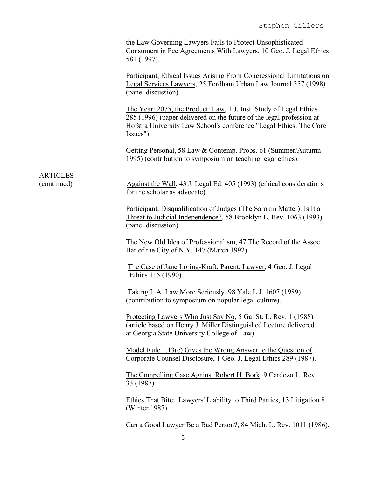the Law Governing Lawyers Fails to Protect Unsophisticated Consumers in Fee Agreements With Lawyers, 10 Geo. J. Legal Ethics 581 (1997).

Participant, Ethical Issues Arising From Congressional Limitations on Legal Services Lawyers, 25 Fordham Urban Law Journal 357 (1998) (panel discussion).

The Year: 2075, the Product: Law, 1 J. Inst. Study of Legal Ethics 285 (1996) (paper delivered on the future of the legal profession at Hofstra University Law School's conference "Legal Ethics: The Core Issues").

Getting Personal, 58 Law & Contemp. Probs. 61 (Summer/Autumn 1995) (contribution to symposium on teaching legal ethics).

(continued) Against the Wall, 43 J. Legal Ed. 405 (1993) (ethical considerations for the scholar as advocate).

ARTICLES

Participant, Disqualification of Judges (The Sarokin Matter): Is It a Threat to Judicial Independence?, 58 Brooklyn L. Rev. 1063 (1993) (panel discussion).

The New Old Idea of Professionalism, 47 The Record of the Assoc Bar of the City of N.Y. 147 (March 1992).

The Case of Jane Loring-Kraft: Parent, Lawyer, 4 Geo. J. Legal Ethics 115 (1990).

Taking L.A. Law More Seriously, 98 Yale L.J. 1607 (1989) (contribution to symposium on popular legal culture).

Protecting Lawyers Who Just Say No, 5 Ga. St. L. Rev. 1 (1988) (article based on Henry J. Miller Distinguished Lecture delivered at Georgia State University College of Law).

Model Rule 1.13(c) Gives the Wrong Answer to the Question of Corporate Counsel Disclosure, 1 Geo. J. Legal Ethics 289 (1987).

The Compelling Case Against Robert H. Bork, 9 Cardozo L. Rev. 33 (1987).

Ethics That Bite: Lawyers' Liability to Third Parties, 13 Litigation 8 (Winter 1987).

Can a Good Lawyer Be a Bad Person?, 84 Mich. L. Rev. 1011 (1986).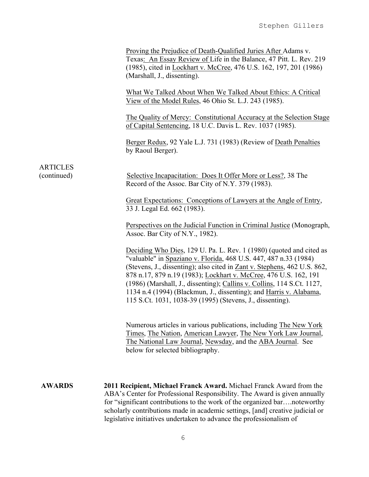|                                | Proving the Prejudice of Death-Qualified Juries After Adams v.<br>Texas: An Essay Review of Life in the Balance, 47 Pitt. L. Rev. 219<br>(1985), cited in Lockhart v. McCree, 476 U.S. 162, 197, 201 (1986)<br>(Marshall, J., dissenting).                                                                                                                                                                                                                                                           |
|--------------------------------|------------------------------------------------------------------------------------------------------------------------------------------------------------------------------------------------------------------------------------------------------------------------------------------------------------------------------------------------------------------------------------------------------------------------------------------------------------------------------------------------------|
|                                | What We Talked About When We Talked About Ethics: A Critical<br>View of the Model Rules, 46 Ohio St. L.J. 243 (1985).                                                                                                                                                                                                                                                                                                                                                                                |
|                                | The Quality of Mercy: Constitutional Accuracy at the Selection Stage<br>of Capital Sentencing, 18 U.C. Davis L. Rev. 1037 (1985).                                                                                                                                                                                                                                                                                                                                                                    |
|                                | Berger Redux, 92 Yale L.J. 731 (1983) (Review of Death Penalties<br>by Raoul Berger).                                                                                                                                                                                                                                                                                                                                                                                                                |
| <b>ARTICLES</b><br>(continued) | Selective Incapacitation: Does It Offer More or Less?, 38 The<br>Record of the Assoc. Bar City of N.Y. 379 (1983).                                                                                                                                                                                                                                                                                                                                                                                   |
|                                | Great Expectations: Conceptions of Lawyers at the Angle of Entry,<br>33 J. Legal Ed. 662 (1983).                                                                                                                                                                                                                                                                                                                                                                                                     |
|                                | Perspectives on the Judicial Function in Criminal Justice (Monograph,<br>Assoc. Bar City of N.Y., 1982).                                                                                                                                                                                                                                                                                                                                                                                             |
|                                | Deciding Who Dies, 129 U. Pa. L. Rev. 1 (1980) (quoted and cited as<br>"valuable" in Spaziano v. Florida, 468 U.S. 447, 487 n.33 (1984)<br>(Stevens, J., dissenting); also cited in Zant v. Stephens, 462 U.S. 862,<br>878 n.17, 879 n.19 (1983); Lockhart v. McCree, 476 U.S. 162, 191<br>(1986) (Marshall, J., dissenting); Callins v. Collins, 114 S.Ct. 1127,<br>1134 n.4 (1994) (Blackmun, J., dissenting); and Harris v. Alabama,<br>115 S.Ct. 1031, 1038-39 (1995) (Stevens, J., dissenting). |
|                                | Numerous articles in various publications, including The New York<br>Times, The Nation, American Lawyer, The New York Law Journal,<br>The National Law Journal, Newsday, and the ABA Journal. See<br>below for selected bibliography.                                                                                                                                                                                                                                                                |
| <b>AWARDS</b>                  | 2011 Recipient, Michael Franck Award. Michael Franck Award from the<br>ABA's Center for Professional Responsibility. The Award is given annually<br>for "significant contributions to the work of the organized barnoteworthy<br>scholarly contributions made in academic settings, [and] creative judicial or<br>legislative initiatives undertaken to advance the professionalism of                                                                                                               |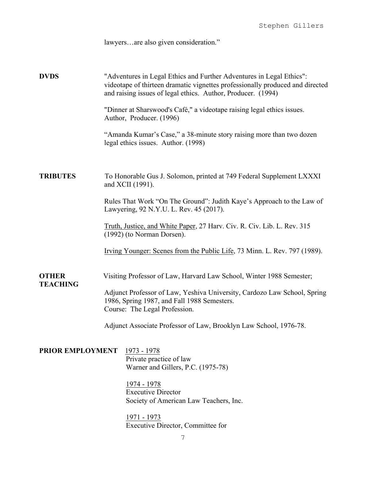lawyers…are also given consideration."

**DVDS** "Adventures in Legal Ethics and Further Adventures in Legal Ethics": videotape of thirteen dramatic vignettes professionally produced and directed and raising issues of legal ethics. Author, Producer. (1994)

> "Dinner at Sharswood's Café," a videotape raising legal ethics issues. Author, Producer. (1996)

"Amanda Kumar's Case," a 38-minute story raising more than two dozen legal ethics issues. Author. (1998)

### **TRIBUTES** To Honorable Gus J. Solomon, printed at 749 Federal Supplement LXXXI and XCII (1991).

Rules That Work "On The Ground": Judith Kaye's Approach to the Law of Lawyering, 92 N.Y.U. L. Rev. 45 (2017).

Truth, Justice, and White Paper, 27 Harv. Civ. R. Civ. Lib. L. Rev. 315 (1992) (to Norman Dorsen).

Irving Younger: Scenes from the Public Life, 73 Minn. L. Rev. 797 (1989).

#### **OTHER** Visiting Professor of Law, Harvard Law School, Winter 1988 Semester;

Adjunct Professor of Law, Yeshiva University, Cardozo Law School, Spring 1986, Spring 1987, and Fall 1988 Semesters. Course: The Legal Profession.

Adjunct Associate Professor of Law, Brooklyn Law School, 1976-78.

**PRIOR EMPLOYMENT** 1973 - 1978 Private practice of law Warner and Gillers, P.C. (1975-78)

**TEACHING**

1974 - 1978 Executive Director Society of American Law Teachers, Inc.

1971 - 1973 Executive Director, Committee for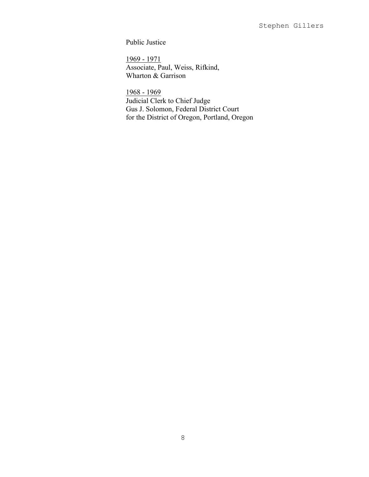Public Justice

1969 - 1971 Associate, Paul, Weiss, Rifkind, Wharton & Garrison

1968 - 1969 Judicial Clerk to Chief Judge Gus J. Solomon, Federal District Court for the District of Oregon, Portland, Oregon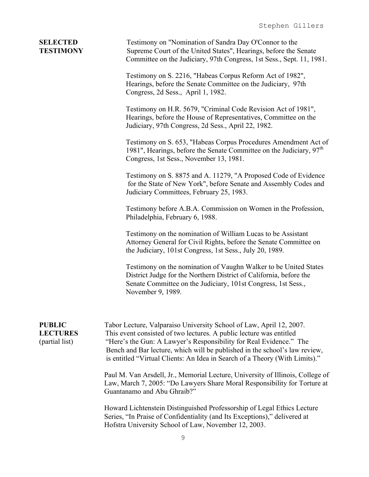| <b>SELECTED</b><br><b>TESTIMONY</b>                | Testimony on "Nomination of Sandra Day O'Connor to the<br>Supreme Court of the United States", Hearings, before the Senate<br>Committee on the Judiciary, 97th Congress, 1st Sess., Sept. 11, 1981.                                                                                                                                                                           |  |
|----------------------------------------------------|-------------------------------------------------------------------------------------------------------------------------------------------------------------------------------------------------------------------------------------------------------------------------------------------------------------------------------------------------------------------------------|--|
|                                                    | Testimony on S. 2216, "Habeas Corpus Reform Act of 1982",<br>Hearings, before the Senate Committee on the Judiciary, 97th<br>Congress, 2d Sess., April 1, 1982.                                                                                                                                                                                                               |  |
|                                                    | Testimony on H.R. 5679, "Criminal Code Revision Act of 1981",<br>Hearings, before the House of Representatives, Committee on the<br>Judiciary, 97th Congress, 2d Sess., April 22, 1982.                                                                                                                                                                                       |  |
|                                                    | Testimony on S. 653, "Habeas Corpus Procedures Amendment Act of<br>1981", Hearings, before the Senate Committee on the Judiciary, $97th$<br>Congress, 1st Sess., November 13, 1981.                                                                                                                                                                                           |  |
|                                                    | Testimony on S. 8875 and A. 11279, "A Proposed Code of Evidence<br>for the State of New York", before Senate and Assembly Codes and<br>Judiciary Committees, February 25, 1983.                                                                                                                                                                                               |  |
|                                                    | Testimony before A.B.A. Commission on Women in the Profession,<br>Philadelphia, February 6, 1988.                                                                                                                                                                                                                                                                             |  |
|                                                    | Testimony on the nomination of William Lucas to be Assistant<br>Attorney General for Civil Rights, before the Senate Committee on<br>the Judiciary, 101st Congress, 1st Sess., July 20, 1989.                                                                                                                                                                                 |  |
|                                                    | Testimony on the nomination of Vaughn Walker to be United States<br>District Judge for the Northern District of California, before the<br>Senate Committee on the Judiciary, 101st Congress, 1st Sess.,<br>November 9, 1989.                                                                                                                                                  |  |
| <b>PUBLIC</b><br><b>LECTURES</b><br>(partial list) | Tabor Lecture, Valparaiso University School of Law, April 12, 2007.<br>This event consisted of two lectures. A public lecture was entitled<br>"Here's the Gun: A Lawyer's Responsibility for Real Evidence." The<br>Bench and Bar lecture, which will be published in the school's law review,<br>is entitled "Virtual Clients: An Idea in Search of a Theory (With Limits)." |  |
|                                                    | Paul M. Van Arsdell, Jr., Memorial Lecture, University of Illinois, College of<br>Law, March 7, 2005: "Do Lawyers Share Moral Responsibility for Torture at<br>Guantanamo and Abu Ghraib?"                                                                                                                                                                                    |  |
|                                                    | Howard Lichtenstein Distinguished Professorship of Legal Ethics Lecture<br>Series, "In Praise of Confidentiality (and Its Exceptions)," delivered at<br>Hofstra University School of Law, November 12, 2003.                                                                                                                                                                  |  |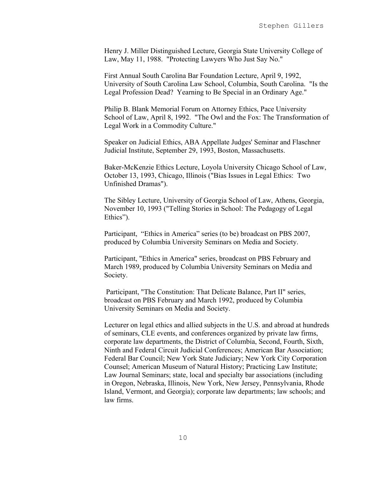Henry J. Miller Distinguished Lecture, Georgia State University College of Law, May 11, 1988. "Protecting Lawyers Who Just Say No."

First Annual South Carolina Bar Foundation Lecture, April 9, 1992, University of South Carolina Law School, Columbia, South Carolina. "Is the Legal Profession Dead? Yearning to Be Special in an Ordinary Age."

Philip B. Blank Memorial Forum on Attorney Ethics, Pace University School of Law, April 8, 1992. "The Owl and the Fox: The Transformation of Legal Work in a Commodity Culture."

Speaker on Judicial Ethics, ABA Appellate Judges' Seminar and Flaschner Judicial Institute, September 29, 1993, Boston, Massachusetts.

Baker-McKenzie Ethics Lecture, Loyola University Chicago School of Law, October 13, 1993, Chicago, Illinois ("Bias Issues in Legal Ethics: Two Unfinished Dramas").

The Sibley Lecture, University of Georgia School of Law, Athens, Georgia, November 10, 1993 ("Telling Stories in School: The Pedagogy of Legal Ethics").

Participant, "Ethics in America" series (to be) broadcast on PBS 2007, produced by Columbia University Seminars on Media and Society.

Participant, "Ethics in America" series, broadcast on PBS February and March 1989, produced by Columbia University Seminars on Media and Society.

Participant, "The Constitution: That Delicate Balance, Part II" series, broadcast on PBS February and March 1992, produced by Columbia University Seminars on Media and Society.

Lecturer on legal ethics and allied subjects in the U.S. and abroad at hundreds of seminars, CLE events, and conferences organized by private law firms, corporate law departments, the District of Columbia, Second, Fourth, Sixth, Ninth and Federal Circuit Judicial Conferences; American Bar Association; Federal Bar Council; New York State Judiciary; New York City Corporation Counsel; American Museum of Natural History; Practicing Law Institute; Law Journal Seminars; state, local and specialty bar associations (including in Oregon, Nebraska, Illinois, New York, New Jersey, Pennsylvania, Rhode Island, Vermont, and Georgia); corporate law departments; law schools; and law firms.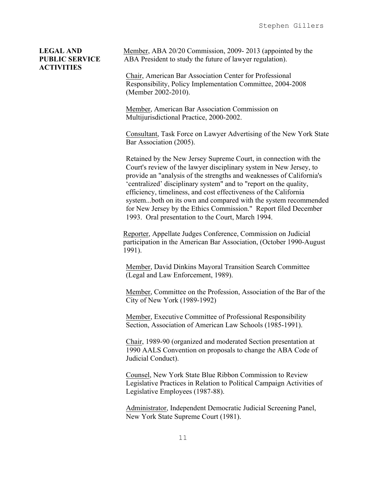# **ACTIVITIES**

**LEGAL AND** Member, ABA 20/20 Commission, 2009-2013 (appointed by the **PUBLIC SERVICE** ABA President to study the future of lawyer regulation).

> Chair, American Bar Association Center for Professional Responsibility, Policy Implementation Committee, 2004-2008 (Member 2002-2010).

Member, American Bar Association Commission on Multijurisdictional Practice, 2000-2002.

Consultant, Task Force on Lawyer Advertising of the New York State Bar Association (2005).

Retained by the New Jersey Supreme Court, in connection with the Court's review of the lawyer disciplinary system in New Jersey, to provide an "analysis of the strengths and weaknesses of California's 'centralized' disciplinary system" and to "report on the quality, efficiency, timeliness, and cost effectiveness of the California system...both on its own and compared with the system recommended for New Jersey by the Ethics Commission." Report filed December 1993. Oral presentation to the Court, March 1994.

Reporter, Appellate Judges Conference, Commission on Judicial participation in the American Bar Association, (October 1990-August 1991).1991).

Member, David Dinkins Mayoral Transition Search Committee (Legal and Law Enforcement, 1989).

Member, Committee on the Profession, Association of the Bar of the City of New York (1989-1992)

Member, Executive Committee of Professional Responsibility Section, Association of American Law Schools (1985-1991).

Chair, 1989-90 (organized and moderated Section presentation at 1990 AALS Convention on proposals to change the ABA Code of Judicial Conduct).

Counsel, New York State Blue Ribbon Commission to Review Legislative Practices in Relation to Political Campaign Activities of Legislative Employees (1987-88).

Administrator, Independent Democratic Judicial Screening Panel, New York State Supreme Court (1981).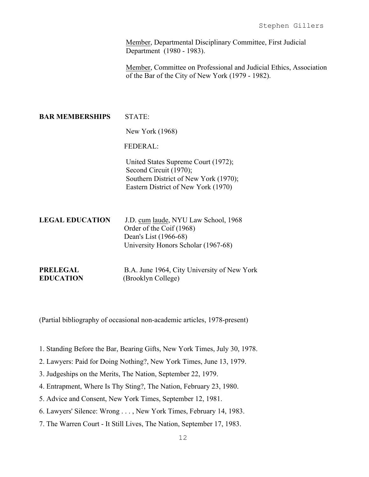Member, Departmental Disciplinary Committee, First Judicial Department (1980 - 1983).

Member, Committee on Professional and Judicial Ethics, Association of the Bar of the City of New York (1979 - 1982).

**BAR MEMBERSHIPS STATE:**  New York (1968) FEDERAL: United States Supreme Court (1972); Second Circuit (1970); Southern District of New York (1970); Eastern District of New York (1970) **LEGAL EDUCATION** J.D. cum laude, NYU Law School, 1968 Order of the Coif (1968) Dean's List (1966-68) University Honors Scholar (1967-68) **PRELEGAL** B.A. June 1964, City University of New York

**EDUCATION** (Brooklyn College)

(Partial bibliography of occasional non-academic articles, 1978-present)

- 1. Standing Before the Bar, Bearing Gifts, New York Times, July 30, 1978.
- 2. Lawyers: Paid for Doing Nothing?, New York Times, June 13, 1979.
- 3. Judgeships on the Merits, The Nation, September 22, 1979.
- 4. Entrapment, Where Is Thy Sting?, The Nation, February 23, 1980.
- 5. Advice and Consent, New York Times, September 12, 1981.
- 6. Lawyers' Silence: Wrong . . . , New York Times, February 14, 1983.
- 7. The Warren Court It Still Lives, The Nation, September 17, 1983.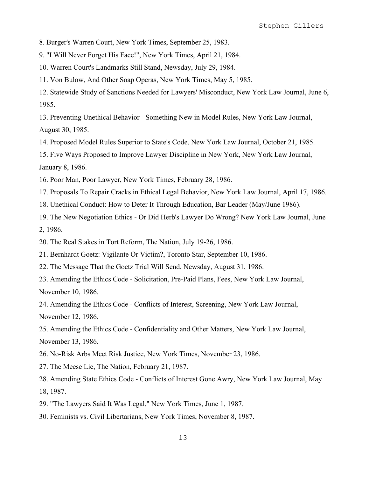8. Burger's Warren Court, New York Times, September 25, 1983.

9. "I Will Never Forget His Face!", New York Times, April 21, 1984.

10. Warren Court's Landmarks Still Stand, Newsday, July 29, 1984.

11. Von Bulow, And Other Soap Operas, New York Times, May 5, 1985.

12. Statewide Study of Sanctions Needed for Lawyers' Misconduct, New York Law Journal, June 6, 1985.

13. Preventing Unethical Behavior - Something New in Model Rules, New York Law Journal, August 30, 1985.

14. Proposed Model Rules Superior to State's Code, New York Law Journal, October 21, 1985.

15. Five Ways Proposed to Improve Lawyer Discipline in New York, New York Law Journal, January 8, 1986.

16. Poor Man, Poor Lawyer, New York Times, February 28, 1986.

17. Proposals To Repair Cracks in Ethical Legal Behavior, New York Law Journal, April 17, 1986.

18. Unethical Conduct: How to Deter It Through Education, Bar Leader (May/June 1986).

19. The New Negotiation Ethics - Or Did Herb's Lawyer Do Wrong? New York Law Journal, June 2, 1986.

20. The Real Stakes in Tort Reform, The Nation, July 19-26, 1986.

21. Bernhardt Goetz: Vigilante Or Victim?, Toronto Star, September 10, 1986.

22. The Message That the Goetz Trial Will Send, Newsday, August 31, 1986.

23. Amending the Ethics Code - Solicitation, Pre-Paid Plans, Fees, New York Law Journal, November 10, 1986.

24. Amending the Ethics Code - Conflicts of Interest, Screening, New York Law Journal, November 12, 1986.

25. Amending the Ethics Code - Confidentiality and Other Matters, New York Law Journal, November 13, 1986.

26. No-Risk Arbs Meet Risk Justice, New York Times, November 23, 1986.

27. The Meese Lie, The Nation, February 21, 1987.

28. Amending State Ethics Code - Conflicts of Interest Gone Awry, New York Law Journal, May 18, 1987.

29. "The Lawyers Said It Was Legal," New York Times, June 1, 1987.

30. Feminists vs. Civil Libertarians, New York Times, November 8, 1987.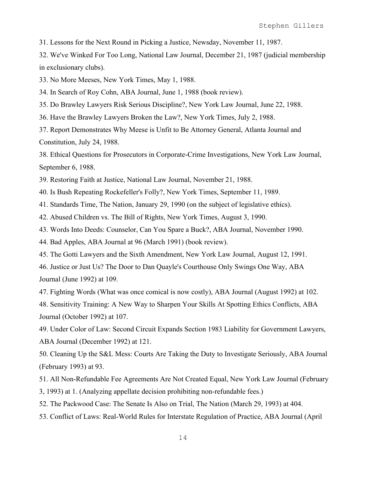31. Lessons for the Next Round in Picking a Justice, Newsday, November 11, 1987.

32. We've Winked For Too Long, National Law Journal, December 21, 1987 (judicial membership in exclusionary clubs).

33. No More Meeses, New York Times, May 1, 1988.

34. In Search of Roy Cohn, ABA Journal, June 1, 1988 (book review).

35. Do Brawley Lawyers Risk Serious Discipline?, New York Law Journal, June 22, 1988.

36. Have the Brawley Lawyers Broken the Law?, New York Times, July 2, 1988.

37. Report Demonstrates Why Meese is Unfit to Be Attorney General, Atlanta Journal and Constitution, July 24, 1988.

38. Ethical Questions for Prosecutors in Corporate-Crime Investigations, New York Law Journal, September 6, 1988.

39. Restoring Faith at Justice, National Law Journal, November 21, 1988.

40. Is Bush Repeating Rockefeller's Folly?, New York Times, September 11, 1989.

41. Standards Time, The Nation, January 29, 1990 (on the subject of legislative ethics).

42. Abused Children vs. The Bill of Rights, New York Times, August 3, 1990.

43. Words Into Deeds: Counselor, Can You Spare a Buck?, ABA Journal, November 1990.

44. Bad Apples, ABA Journal at 96 (March 1991) (book review).

45. The Gotti Lawyers and the Sixth Amendment, New York Law Journal, August 12, 1991.

46. Justice or Just Us? The Door to Dan Quayle's Courthouse Only Swings One Way, ABA Journal (June 1992) at 109.

47. Fighting Words (What was once comical is now costly), ABA Journal (August 1992) at 102.

48. Sensitivity Training: A New Way to Sharpen Your Skills At Spotting Ethics Conflicts, ABA Journal (October 1992) at 107.

49. Under Color of Law: Second Circuit Expands Section 1983 Liability for Government Lawyers, ABA Journal (December 1992) at 121.

50. Cleaning Up the S&L Mess: Courts Are Taking the Duty to Investigate Seriously, ABA Journal (February 1993) at 93.

- 51. All Non-Refundable Fee Agreements Are Not Created Equal, New York Law Journal (February
- 3, 1993) at 1. (Analyzing appellate decision prohibiting non-refundable fees.)
- 52. The Packwood Case: The Senate Is Also on Trial, The Nation (March 29, 1993) at 404.
- 53. Conflict of Laws: Real-World Rules for Interstate Regulation of Practice, ABA Journal (April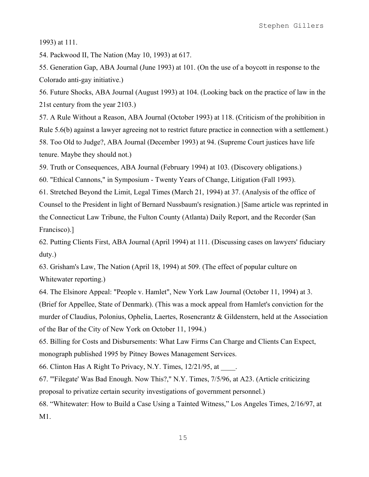1993) at 111.

54. Packwood II, The Nation (May 10, 1993) at 617.

55. Generation Gap, ABA Journal (June 1993) at 101. (On the use of a boycott in response to the Colorado anti-gay initiative.)

56. Future Shocks, ABA Journal (August 1993) at 104. (Looking back on the practice of law in the 21st century from the year 2103.)

57. A Rule Without a Reason, ABA Journal (October 1993) at 118. (Criticism of the prohibition in Rule 5.6(b) against a lawyer agreeing not to restrict future practice in connection with a settlement.) 58. Too Old to Judge?, ABA Journal (December 1993) at 94. (Supreme Court justices have life tenure. Maybe they should not.)

59. Truth or Consequences, ABA Journal (February 1994) at 103. (Discovery obligations.)

60. "Ethical Cannons," in Symposium - Twenty Years of Change, Litigation (Fall 1993).

61. Stretched Beyond the Limit, Legal Times (March 21, 1994) at 37. (Analysis of the office of Counsel to the President in light of Bernard Nussbaum's resignation.) [Same article was reprinted in the Connecticut Law Tribune, the Fulton County (Atlanta) Daily Report, and the Recorder (San Francisco).]

62. Putting Clients First, ABA Journal (April 1994) at 111. (Discussing cases on lawyers' fiduciary duty.)

63. Grisham's Law, The Nation (April 18, 1994) at 509. (The effect of popular culture on Whitewater reporting.)

64. The Elsinore Appeal: "People v. Hamlet", New York Law Journal (October 11, 1994) at 3.

(Brief for Appellee, State of Denmark). (This was a mock appeal from Hamlet's conviction for the murder of Claudius, Polonius, Ophelia, Laertes, Rosencrantz & Gildenstern, held at the Association of the Bar of the City of New York on October 11, 1994.)

65. Billing for Costs and Disbursements: What Law Firms Can Charge and Clients Can Expect, monograph published 1995 by Pitney Bowes Management Services.

66. Clinton Has A Right To Privacy, N.Y. Times, 12/21/95, at \_\_\_\_.

67. "'Filegate' Was Bad Enough. Now This?," N.Y. Times, 7/5/96, at A23. (Article criticizing proposal to privatize certain security investigations of government personnel.)

68. "Whitewater: How to Build a Case Using a Tainted Witness," Los Angeles Times, 2/16/97, at M1.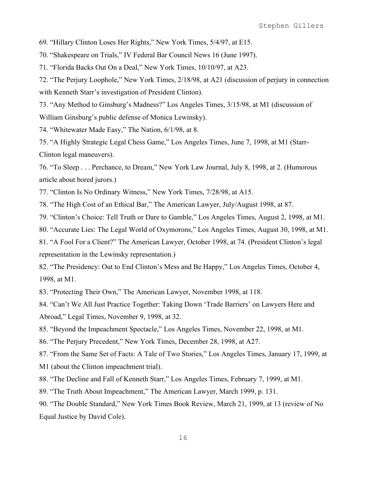69. "Hillary Clinton Loses Her Rights," New York Times, 5/4/97, at E15.

70. "Shakespeare on Trials," IV Federal Bar Council News 16 (June 1997).

71. "Florida Backs Out On a Deal," New York Times, 10/10/97, at A23.

72. "The Perjury Loophole," New York Times, 2/18/98, at A21 (discussion of perjury in connection with Kenneth Starr's investigation of President Clinton).

73. "Any Method to Ginsburg's Madness?" Los Angeles Times, 3/15/98, at M1 (discussion of William Ginsburg's public defense of Monica Lewinsky).

74. "Whitewater Made Easy," The Nation, 6/1/98, at 8.

75. "A Highly Strategic Legal Chess Game," Los Angeles Times, June 7, 1998, at M1 (Starr-Clinton legal maneuvers).

76. "To Sleep . . . Perchance, to Dream," New York Law Journal, July 8, 1998, at 2. (Humorous article about bored jurors.)

77. "Clinton Is No Ordinary Witness," New York Times, 7/28/98, at A15.

78. "The High Cost of an Ethical Bar," The American Lawyer, July/August 1998, at 87.

79. "Clinton's Choice: Tell Truth or Dare to Gamble," Los Angeles Times, August 2, 1998, at M1.

80. "Accurate Lies: The Legal World of Oxymorons," Los Angeles Times, August 30, 1998, at M1.

81. "A Fool For a Client?" The American Lawyer, October 1998, at 74. (President Clinton's legal representation in the Lewinsky representation.)

82. "The Presidency: Out to End Clinton's Mess and Be Happy," Los Angeles Times, October 4, 1998, at M1.

83. "Protecting Their Own," The American Lawyer, November 1998, at 118.

84. "Can't We All Just Practice Together: Taking Down 'Trade Barriers' on Lawyers Here and Abroad," Legal Times, November 9, 1998, at 32.

85. "Beyond the Impeachment Spectacle," Los Angeles Times, November 22, 1998, at M1.

86. "The Perjury Precedent," New York Times, December 28, 1998, at A27.

87. "From the Same Set of Facts: A Tale of Two Stories," Los Angeles Times, January 17, 1999, at

M1 (about the Clinton impeachment trial).

88. "The Decline and Fall of Kenneth Starr," Los Angeles Times, February 7, 1999, at M1.

89. "The Truth About Impeachment," The American Lawyer, March 1999, p. 131.

90. "The Double Standard," New York Times Book Review, March 21, 1999, at 13 (review of No Equal Justice by David Cole).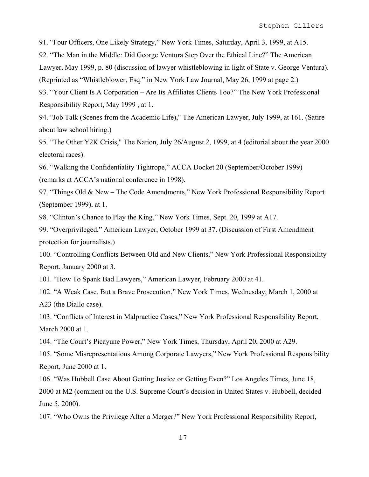91. "Four Officers, One Likely Strategy," New York Times, Saturday, April 3, 1999, at A15.

92. "The Man in the Middle: Did George Ventura Step Over the Ethical Line?" The American

Lawyer, May 1999, p. 80 (discussion of lawyer whistleblowing in light of State v. George Ventura).

(Reprinted as "Whistleblower, Esq." in New York Law Journal, May 26, 1999 at page 2.)

93. "Your Client Is A Corporation – Are Its Affiliates Clients Too?" The New York Professional Responsibility Report, May 1999 , at 1.

94. "Job Talk (Scenes from the Academic Life)," The American Lawyer, July 1999, at 161. (Satire about law school hiring.)

95. "The Other Y2K Crisis," The Nation, July 26/August 2, 1999, at 4 (editorial about the year 2000 electoral races).

96. "Walking the Confidentiality Tightrope," ACCA Docket 20 (September/October 1999) (remarks at ACCA's national conference in 1998).

97. "Things Old & New – The Code Amendments," New York Professional Responsibility Report (September 1999), at 1.

98. "Clinton's Chance to Play the King," New York Times, Sept. 20, 1999 at A17.

99. "Overprivileged," American Lawyer, October 1999 at 37. (Discussion of First Amendment protection for journalists.)

100. "Controlling Conflicts Between Old and New Clients," New York Professional Responsibility Report, January 2000 at 3.

101. "How To Spank Bad Lawyers," American Lawyer, February 2000 at 41.

102. "A Weak Case, But a Brave Prosecution," New York Times, Wednesday, March 1, 2000 at A23 (the Diallo case).

103. "Conflicts of Interest in Malpractice Cases," New York Professional Responsibility Report, March 2000 at 1.

104. "The Court's Picayune Power," New York Times, Thursday, April 20, 2000 at A29.

105. "Some Misrepresentations Among Corporate Lawyers," New York Professional Responsibility Report, June 2000 at 1.

106. "Was Hubbell Case About Getting Justice or Getting Even?" Los Angeles Times, June 18,

2000 at M2 (comment on the U.S. Supreme Court's decision in United States v. Hubbell, decided June 5, 2000).

107. "Who Owns the Privilege After a Merger?" New York Professional Responsibility Report,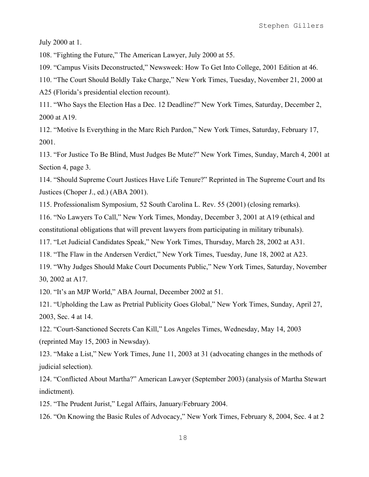July 2000 at 1.

108. "Fighting the Future," The American Lawyer, July 2000 at 55.

109. "Campus Visits Deconstructed," Newsweek: How To Get Into College, 2001 Edition at 46.

110. "The Court Should Boldly Take Charge," New York Times, Tuesday, November 21, 2000 at

A25 (Florida's presidential election recount).

111. "Who Says the Election Has a Dec. 12 Deadline?" New York Times, Saturday, December 2, 2000 at A19.

112. "Motive Is Everything in the Marc Rich Pardon," New York Times, Saturday, February 17, 2001.

113. "For Justice To Be Blind, Must Judges Be Mute?" New York Times, Sunday, March 4, 2001 at Section 4, page 3.

114. "Should Supreme Court Justices Have Life Tenure?" Reprinted in The Supreme Court and Its Justices (Choper J., ed.) (ABA 2001).

115. Professionalism Symposium, 52 South Carolina L. Rev. 55 (2001) (closing remarks).

116. "No Lawyers To Call," New York Times, Monday, December 3, 2001 at A19 (ethical and constitutional obligations that will prevent lawyers from participating in military tribunals).

117. "Let Judicial Candidates Speak," New York Times, Thursday, March 28, 2002 at A31.

118. "The Flaw in the Andersen Verdict," New York Times, Tuesday, June 18, 2002 at A23.

119. "Why Judges Should Make Court Documents Public," New York Times, Saturday, November 30, 2002 at A17.

120. "It's an MJP World," ABA Journal, December 2002 at 51.

121. "Upholding the Law as Pretrial Publicity Goes Global," New York Times, Sunday, April 27, 2003, Sec. 4 at 14.

122. "Court-Sanctioned Secrets Can Kill," Los Angeles Times, Wednesday, May 14, 2003 (reprinted May 15, 2003 in Newsday).

123. "Make a List," New York Times, June 11, 2003 at 31 (advocating changes in the methods of judicial selection).

124. "Conflicted About Martha?" American Lawyer (September 2003) (analysis of Martha Stewart indictment).

125. "The Prudent Jurist," Legal Affairs, January/February 2004.

126. "On Knowing the Basic Rules of Advocacy," New York Times, February 8, 2004, Sec. 4 at 2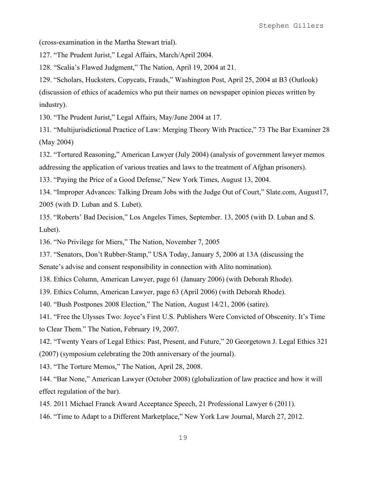(cross-examination in the Martha Stewart trial).

127. "The Prudent Jurist," Legal Affairs, March/April 2004.

128. "Scalia's Flawed Judgment," The Nation, April 19, 2004 at 21.

129. "Scholars, Hucksters, Copycats, Frauds," Washington Post, April 25, 2004 at B3 (Outlook) (discussion of ethics of academics who put their names on newspaper opinion pieces written by industry).

130. "The Prudent Jurist," Legal Affairs, May/June 2004 at 17.

131. "Multijurisdictional Practice of Law: Merging Theory With Practice," 73 The Bar Examiner 28 (May 2004)

132. "Tortured Reasoning," American Lawyer (July 2004) (analysis of government lawyer memos addressing the application of various treaties and laws to the treatment of Afghan prisoners).

133. "Paying the Price of a Good Defense," New York Times, August 13, 2004.

134. "Improper Advances: Talking Dream Jobs with the Judge Out of Court," Slate.com, August17, 2005 (with D. Luban and S. Lubet).

135. "Roberts' Bad Decision," Los Angeles Times, September. 13, 2005 (with D. Luban and S. Lubet).

136. "No Privilege for Miers," The Nation, November 7, 2005

137. "Senators, Don't Rubber-Stamp," USA Today, January 5, 2006 at 13A (discussing the

Senate's advise and consent responsibility in connection with Alito nomination).

138. Ethics Column, American Lawyer, page 61 (January 2006) (with Deborah Rhode).

139. Ethics Column, American Lawyer, page 63 (April 2006) (with Deborah Rhode).

140. "Bush Postpones 2008 Election," The Nation, August 14/21, 2006 (satire).

141. "Free the Ulysses Two: Joyce's First U.S. Publishers Were Convicted of Obscenity. It's Time to Clear Them." The Nation, February 19, 2007.

142. "Twenty Years of Legal Ethics: Past, Present, and Future," 20 Georgetown J. Legal Ethics 321 (2007) (symposium celebrating the 20th anniversary of the journal).

143. "The Torture Memos," The Nation, April 28, 2008.

144. "Bar None," American Lawyer (October 2008) (globalization of law practice and how it will effect regulation of the bar).

145. 2011 Michael Franck Award Acceptance Speech, 21 Professional Lawyer 6 (2011).

146. "Time to Adapt to a Different Marketplace," New York Law Journal, March 27, 2012.